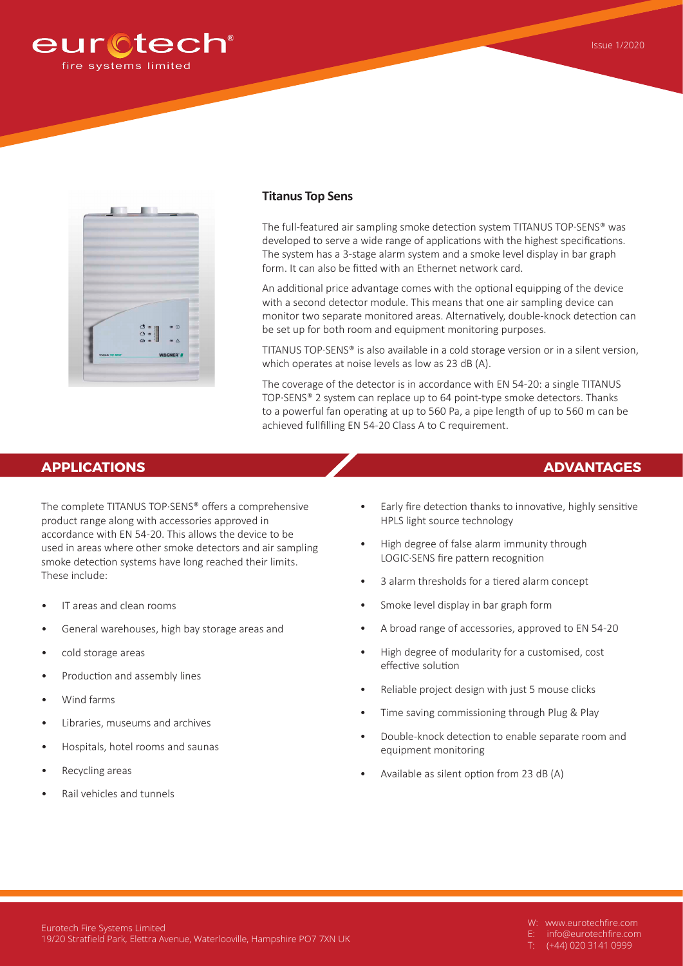



## **Titanus Top Sens**

The full-featured air sampling smoke detection system TITANUS TOP·SENS® was developed to serve a wide range of applications with the highest specifications. The system has a 3-stage alarm system and a smoke level display in bar graph form. It can also be fitted with an Ethernet network card.

An additional price advantage comes with the optional equipping of the device with a second detector module. This means that one air sampling device can monitor two separate monitored areas. Alternatively, double-knock detection can be set up for both room and equipment monitoring purposes.

TITANUS TOP·SENS® is also available in a cold storage version or in a silent version, which operates at noise levels as low as 23 dB (A).

The coverage of the detector is in accordance with EN 54-20: a single TITANUS TOP·SENS® 2 system can replace up to 64 point-type smoke detectors. Thanks to a powerful fan operating at up to 560 Pa, a pipe length of up to 560 m can be achieved fullfilling EN 54-20 Class A to C requirement.

## **APPLICATIONS ADVANTAGES**

The complete TITANUS TOP·SENS® offers a comprehensive product range along with accessories approved in accordance with EN 54-20. This allows the device to be used in areas where other smoke detectors and air sampling smoke detection systems have long reached their limits. These include:

- IT areas and clean rooms
- General warehouses, high bay storage areas and
- cold storage areas
- Production and assembly lines
- Wind farms
- Libraries, museums and archives
- Hospitals, hotel rooms and saunas
- Recycling areas
- Rail vehicles and tunnels
- Early fire detection thanks to innovative, highly sensitive HPLS light source technology
- High degree of false alarm immunity through LOGIC·SENS fire pattern recognition
- 3 alarm thresholds for a tiered alarm concept
- Smoke level display in bar graph form
- A broad range of accessories, approved to EN 54-20
- High degree of modularity for a customised, cost effective solution
- Reliable project design with just 5 mouse clicks
- Time saving commissioning through Plug & Play
- Double-knock detection to enable separate room and equipment monitoring
- Available as silent option from 23 dB (A)

- W: www.eurotechfire.com
- E: info@eurotechfire.com
- (+44) 020 3141 0999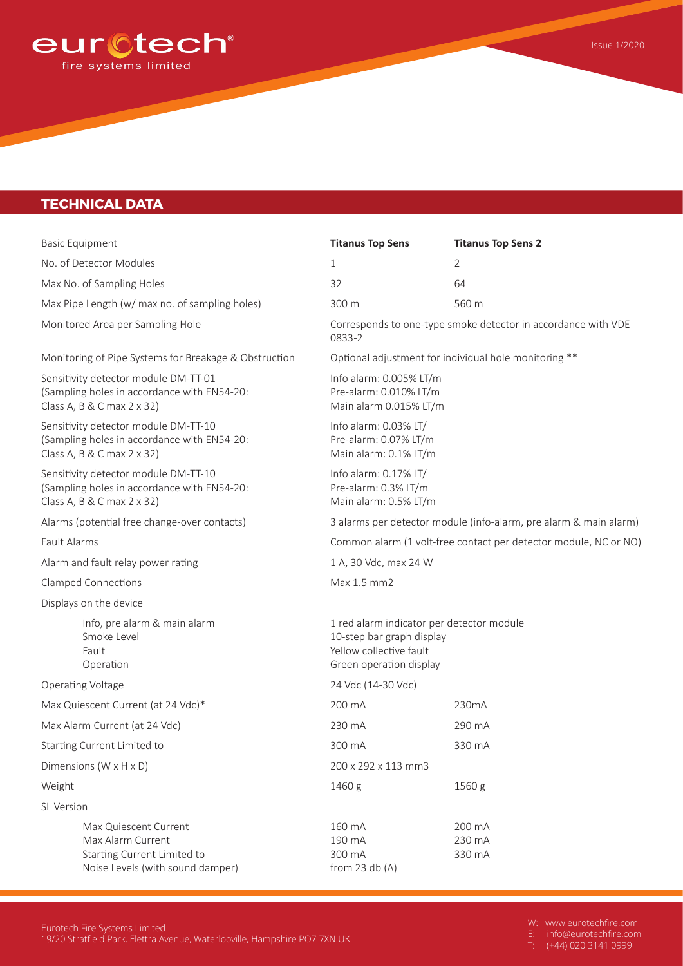

## **TECHNICAL DATA**

| <b>Basic Equipment</b>                                                                                            |                                                                                                                   | <b>Titanus Top Sens</b>                                                                                                      | <b>Titanus Top Sens 2</b>  |  |
|-------------------------------------------------------------------------------------------------------------------|-------------------------------------------------------------------------------------------------------------------|------------------------------------------------------------------------------------------------------------------------------|----------------------------|--|
| No. of Detector Modules                                                                                           |                                                                                                                   | 1                                                                                                                            | $\overline{2}$             |  |
|                                                                                                                   | Max No. of Sampling Holes                                                                                         | 32                                                                                                                           | 64                         |  |
|                                                                                                                   | Max Pipe Length (w/ max no. of sampling holes)                                                                    | 300 m                                                                                                                        | 560 m                      |  |
| Monitored Area per Sampling Hole                                                                                  |                                                                                                                   | Corresponds to one-type smoke detector in accordance with VDE<br>0833-2                                                      |                            |  |
| Monitoring of Pipe Systems for Breakage & Obstruction                                                             |                                                                                                                   | Optional adjustment for individual hole monitoring **                                                                        |                            |  |
|                                                                                                                   | Sensitivity detector module DM-TT-01<br>(Sampling holes in accordance with EN54-20:<br>Class A, B & C max 2 x 32) | Info alarm: 0.005% LT/m<br>Pre-alarm: 0.010% LT/m<br>Main alarm 0.015% LT/m                                                  |                            |  |
|                                                                                                                   | Sensitivity detector module DM-TT-10<br>(Sampling holes in accordance with EN54-20:<br>Class A, B & C max 2 x 32) | Info alarm: 0.03% LT/<br>Pre-alarm: 0.07% LT/m<br>Main alarm: 0.1% LT/m                                                      |                            |  |
| Sensitivity detector module DM-TT-10<br>(Sampling holes in accordance with EN54-20:<br>Class A, B & C max 2 x 32) |                                                                                                                   | Info alarm: 0.17% LT/<br>Pre-alarm: 0.3% LT/m<br>Main alarm: 0.5% LT/m                                                       |                            |  |
| Alarms (potential free change-over contacts)                                                                      |                                                                                                                   | 3 alarms per detector module (info-alarm, pre alarm & main alarm)                                                            |                            |  |
| <b>Fault Alarms</b>                                                                                               |                                                                                                                   | Common alarm (1 volt-free contact per detector module, NC or NO)                                                             |                            |  |
| Alarm and fault relay power rating                                                                                |                                                                                                                   | 1 A, 30 Vdc, max 24 W                                                                                                        |                            |  |
| <b>Clamped Connections</b>                                                                                        |                                                                                                                   | Max 1.5 mm2                                                                                                                  |                            |  |
| Displays on the device                                                                                            |                                                                                                                   |                                                                                                                              |                            |  |
|                                                                                                                   | Info, pre alarm & main alarm<br>Smoke Level<br>Fault<br>Operation                                                 | 1 red alarm indicator per detector module<br>10-step bar graph display<br>Yellow collective fault<br>Green operation display |                            |  |
| Operating Voltage                                                                                                 |                                                                                                                   | 24 Vdc (14-30 Vdc)                                                                                                           |                            |  |
|                                                                                                                   | Max Quiescent Current (at 24 Vdc)*                                                                                | 200 mA                                                                                                                       | 230mA                      |  |
|                                                                                                                   | Max Alarm Current (at 24 Vdc)                                                                                     | 230 mA                                                                                                                       | 290 mA                     |  |
|                                                                                                                   | Starting Current Limited to                                                                                       | 300 mA                                                                                                                       | 330 mA                     |  |
| Dimensions ( $W \times H \times D$ )                                                                              |                                                                                                                   | 200 x 292 x 113 mm3                                                                                                          |                            |  |
| Weight                                                                                                            |                                                                                                                   | 1460 g                                                                                                                       | 1560 g                     |  |
| <b>SL Version</b>                                                                                                 |                                                                                                                   |                                                                                                                              |                            |  |
|                                                                                                                   | Max Quiescent Current<br>Max Alarm Current<br>Starting Current Limited to<br>Noise Levels (with sound damper)     | 160 mA<br>190 mA<br>300 mA<br>from 23 $db(A)$                                                                                | 200 mA<br>230 mA<br>330 mA |  |
|                                                                                                                   |                                                                                                                   |                                                                                                                              |                            |  |

W: www.eurotechfire.com

Issue 1/2020

E: info@eurotechfire.com T: (+44) 020 3141 0999